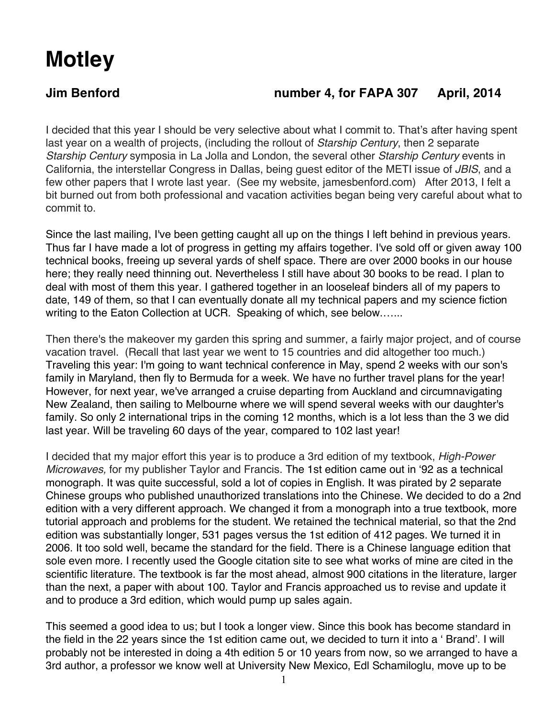## **Motley**

## **Jim Benford number 4, for FAPA 307 April, 2014**

I decided that this year I should be very selective about what I commit to. That's after having spent last year on a wealth of projects, (including the rollout of *Starship Century*, then 2 separate *Starship Century* symposia in La Jolla and London, the several other *Starship Century* events in California, the interstellar Congress in Dallas, being guest editor of the METI issue of *JBIS*, and a few other papers that I wrote last year. (See my website, jamesbenford.com) After 2013, I felt a bit burned out from both professional and vacation activities began being very careful about what to commit to.

Since the last mailing, I've been getting caught all up on the things I left behind in previous years. Thus far I have made a lot of progress in getting my affairs together. I've sold off or given away 100 technical books, freeing up several yards of shelf space. There are over 2000 books in our house here; they really need thinning out. Nevertheless I still have about 30 books to be read. I plan to deal with most of them this year. I gathered together in an looseleaf binders all of my papers to date, 149 of them, so that I can eventually donate all my technical papers and my science fiction writing to the Eaton Collection at UCR. Speaking of which, see below.…...

Then there's the makeover my garden this spring and summer, a fairly major project, and of course vacation travel. (Recall that last year we went to 15 countries and did altogether too much.) Traveling this year: I'm going to want technical conference in May, spend 2 weeks with our son's family in Maryland, then fly to Bermuda for a week. We have no further travel plans for the year! However, for next year, we've arranged a cruise departing from Auckland and circumnavigating New Zealand, then sailing to Melbourne where we will spend several weeks with our daughter's family. So only 2 international trips in the coming 12 months, which is a lot less than the 3 we did last year. Will be traveling 60 days of the year, compared to 102 last year!

I decided that my major effort this year is to produce a 3rd edition of my textbook, *High-Power Microwaves,* for my publisher Taylor and Francis. The 1st edition came out in ʻ92 as a technical monograph. It was quite successful, sold a lot of copies in English. It was pirated by 2 separate Chinese groups who published unauthorized translations into the Chinese. We decided to do a 2nd edition with a very different approach. We changed it from a monograph into a true textbook, more tutorial approach and problems for the student. We retained the technical material, so that the 2nd edition was substantially longer, 531 pages versus the 1st edition of 412 pages. We turned it in 2006. It too sold well, became the standard for the field. There is a Chinese language edition that sole even more. I recently used the Google citation site to see what works of mine are cited in the scientific literature. The textbook is far the most ahead, almost 900 citations in the literature, larger than the next, a paper with about 100. Taylor and Francis approached us to revise and update it and to produce a 3rd edition, which would pump up sales again.

This seemed a good idea to us; but I took a longer view. Since this book has become standard in the field in the 22 years since the 1st edition came out, we decided to turn it into a ʻ Brand'. I will probably not be interested in doing a 4th edition 5 or 10 years from now, so we arranged to have a 3rd author, a professor we know well at University New Mexico, Edl Schamiloglu, move up to be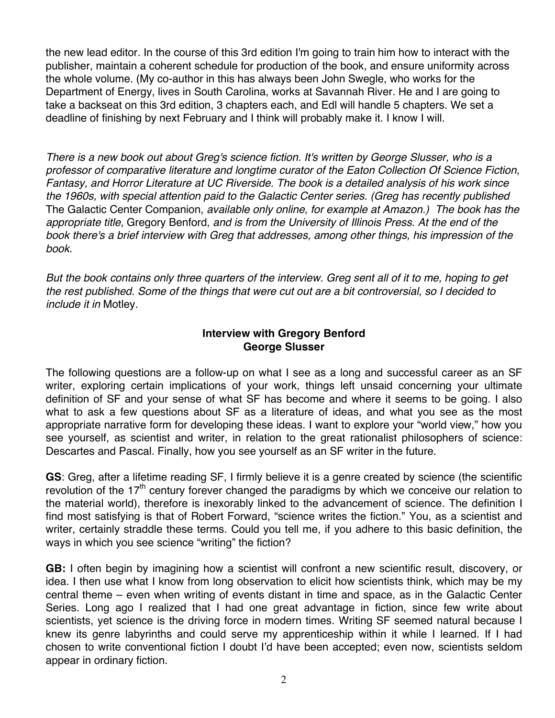the new lead editor. In the course of this 3rd edition I'm going to train him how to interact with the publisher, maintain a coherent schedule for production of the book, and ensure uniformity across the whole volume. (My co-author in this has always been John Swegle, who works for the Department of Energy, lives in South Carolina, works at Savannah River. He and I are going to take a backseat on this 3rd edition, 3 chapters each, and Edl will handle 5 chapters. We set a deadline of finishing by next February and I think will probably make it. I know I will.

*There is a new book out about Greg's science fiction. It's written by George Slusser, who is a professor of comparative literature and longtime curator of the Eaton Collection Of Science Fiction, Fantasy, and Horror Literature at UC Riverside. The book is a detailed analysis of his work since the 1960s, with special attention paid to the Galactic Center series. (Greg has recently published* The Galactic Center Companion, *available only online, for example at Amazon.) The book has the appropriate title,* Gregory Benford, *and is from the University of Illinois Press. At the end of the book there's a brief interview with Greg that addresses, among other things, his impression of the book.*

*But the book contains only three quarters of the interview. Greg sent all of it to me, hoping to get the rest published. Some of the things that were cut out are a bit controversial, so I decided to include it in* Motley*.*

## **Interview with Gregory Benford George Slusser**

The following questions are a follow-up on what I see as a long and successful career as an SF writer, exploring certain implications of your work, things left unsaid concerning your ultimate definition of SF and your sense of what SF has become and where it seems to be going. I also what to ask a few questions about SF as a literature of ideas, and what you see as the most appropriate narrative form for developing these ideas. I want to explore your "world view," how you see yourself, as scientist and writer, in relation to the great rationalist philosophers of science: Descartes and Pascal. Finally, how you see yourself as an SF writer in the future.

**GS**: Greg, after a lifetime reading SF, I firmly believe it is a genre created by science (the scientific revolution of the  $17<sup>th</sup>$  century forever changed the paradigms by which we conceive our relation to the material world), therefore is inexorably linked to the advancement of science. The definition I find most satisfying is that of Robert Forward, "science writes the fiction." You, as a scientist and writer, certainly straddle these terms. Could you tell me, if you adhere to this basic definition, the ways in which you see science "writing" the fiction?

**GB:** I often begin by imagining how a scientist will confront a new scientific result, discovery, or idea. I then use what I know from long observation to elicit how scientists think, which may be my central theme – even when writing of events distant in time and space, as in the Galactic Center Series. Long ago I realized that I had one great advantage in fiction, since few write about scientists, yet science is the driving force in modern times. Writing SF seemed natural because I knew its genre labyrinths and could serve my apprenticeship within it while I learned. If I had chosen to write conventional fiction I doubt I'd have been accepted; even now, scientists seldom appear in ordinary fiction.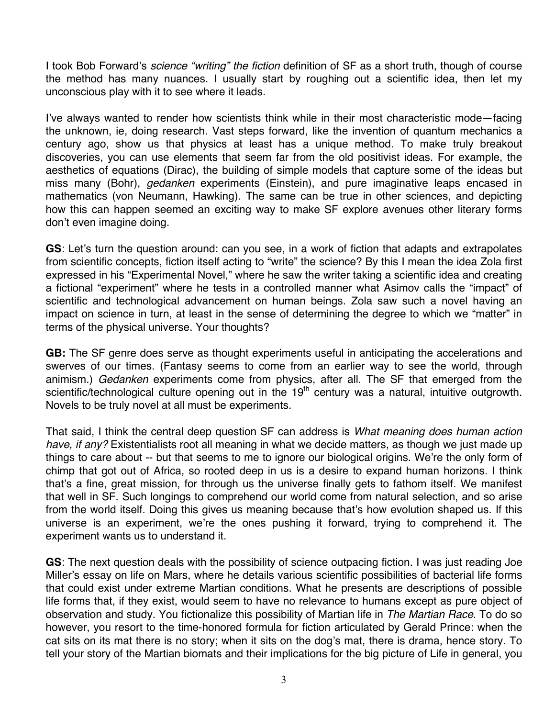I took Bob Forward's *science "writing" the fiction* definition of SF as a short truth, though of course the method has many nuances. I usually start by roughing out a scientific idea, then let my unconscious play with it to see where it leads.

I've always wanted to render how scientists think while in their most characteristic mode—facing the unknown, ie, doing research. Vast steps forward, like the invention of quantum mechanics a century ago, show us that physics at least has a unique method. To make truly breakout discoveries, you can use elements that seem far from the old positivist ideas. For example, the aesthetics of equations (Dirac), the building of simple models that capture some of the ideas but miss many (Bohr), *gedanken* experiments (Einstein), and pure imaginative leaps encased in mathematics (von Neumann, Hawking). The same can be true in other sciences, and depicting how this can happen seemed an exciting way to make SF explore avenues other literary forms don't even imagine doing.

**GS**: Let's turn the question around: can you see, in a work of fiction that adapts and extrapolates from scientific concepts, fiction itself acting to "write" the science? By this I mean the idea Zola first expressed in his "Experimental Novel," where he saw the writer taking a scientific idea and creating a fictional "experiment" where he tests in a controlled manner what Asimov calls the "impact" of scientific and technological advancement on human beings. Zola saw such a novel having an impact on science in turn, at least in the sense of determining the degree to which we "matter" in terms of the physical universe. Your thoughts?

**GB:** The SF genre does serve as thought experiments useful in anticipating the accelerations and swerves of our times. (Fantasy seems to come from an earlier way to see the world, through animism.) *Gedanken* experiments come from physics, after all. The SF that emerged from the scientific/technological culture opening out in the 19<sup>th</sup> century was a natural, intuitive outgrowth. Novels to be truly novel at all must be experiments.

That said, I think the central deep question SF can address is *What meaning does human action have, if any?* Existentialists root all meaning in what we decide matters, as though we just made up things to care about -- but that seems to me to ignore our biological origins. We're the only form of chimp that got out of Africa, so rooted deep in us is a desire to expand human horizons. I think that's a fine, great mission, for through us the universe finally gets to fathom itself. We manifest that well in SF. Such longings to comprehend our world come from natural selection, and so arise from the world itself. Doing this gives us meaning because that's how evolution shaped us. If this universe is an experiment, we're the ones pushing it forward, trying to comprehend it. The experiment wants us to understand it.

**GS**: The next question deals with the possibility of science outpacing fiction. I was just reading Joe Miller's essay on life on Mars, where he details various scientific possibilities of bacterial life forms that could exist under extreme Martian conditions. What he presents are descriptions of possible life forms that, if they exist, would seem to have no relevance to humans except as pure object of observation and study. You fictionalize this possibility of Martian life in *The Martian Race*. To do so however, you resort to the time-honored formula for fiction articulated by Gerald Prince: when the cat sits on its mat there is no story; when it sits on the dog's mat, there is drama, hence story. To tell your story of the Martian biomats and their implications for the big picture of Life in general, you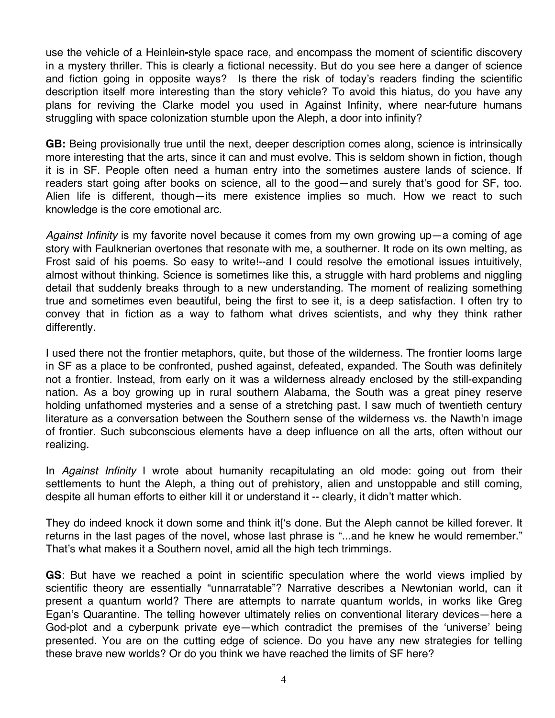use the vehicle of a Heinlein**-**style space race, and encompass the moment of scientific discovery in a mystery thriller. This is clearly a fictional necessity. But do you see here a danger of science and fiction going in opposite ways? Is there the risk of today's readers finding the scientific description itself more interesting than the story vehicle? To avoid this hiatus, do you have any plans for reviving the Clarke model you used in Against Infinity, where near-future humans struggling with space colonization stumble upon the Aleph, a door into infinity?

**GB:** Being provisionally true until the next, deeper description comes along, science is intrinsically more interesting that the arts, since it can and must evolve. This is seldom shown in fiction, though it is in SF. People often need a human entry into the sometimes austere lands of science. If readers start going after books on science, all to the good—and surely that's good for SF, too. Alien life is different, though—its mere existence implies so much. How we react to such knowledge is the core emotional arc.

*Against Infinity* is my favorite novel because it comes from my own growing up—a coming of age story with Faulknerian overtones that resonate with me, a southerner. It rode on its own melting, as Frost said of his poems. So easy to write!--and I could resolve the emotional issues intuitively, almost without thinking. Science is sometimes like this, a struggle with hard problems and niggling detail that suddenly breaks through to a new understanding. The moment of realizing something true and sometimes even beautiful, being the first to see it, is a deep satisfaction. I often try to convey that in fiction as a way to fathom what drives scientists, and why they think rather differently.

I used there not the frontier metaphors, quite, but those of the wilderness. The frontier looms large in SF as a place to be confronted, pushed against, defeated, expanded. The South was definitely not a frontier. Instead, from early on it was a wilderness already enclosed by the still-expanding nation. As a boy growing up in rural southern Alabama, the South was a great piney reserve holding unfathomed mysteries and a sense of a stretching past. I saw much of twentieth century literature as a conversation between the Southern sense of the wilderness vs. the Nawth'n image of frontier. Such subconscious elements have a deep influence on all the arts, often without our realizing.

In *Against Infinity* I wrote about humanity recapitulating an old mode: going out from their settlements to hunt the Aleph, a thing out of prehistory, alien and unstoppable and still coming, despite all human efforts to either kill it or understand it -- clearly, it didn't matter which.

They do indeed knock it down some and think it[ʻs done. But the Aleph cannot be killed forever. It returns in the last pages of the novel, whose last phrase is "...and he knew he would remember." That's what makes it a Southern novel, amid all the high tech trimmings.

**GS**: But have we reached a point in scientific speculation where the world views implied by scientific theory are essentially "unnarratable"? Narrative describes a Newtonian world, can it present a quantum world? There are attempts to narrate quantum worlds, in works like Greg Egan's Quarantine. The telling however ultimately relies on conventional literary devices—here a God-plot and a cyberpunk private eye—which contradict the premises of the ʻuniverse' being presented. You are on the cutting edge of science. Do you have any new strategies for telling these brave new worlds? Or do you think we have reached the limits of SF here?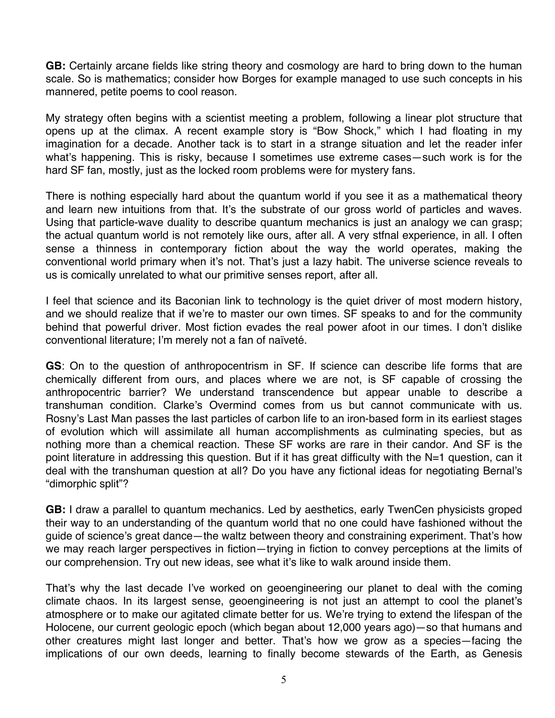**GB:** Certainly arcane fields like string theory and cosmology are hard to bring down to the human scale. So is mathematics; consider how Borges for example managed to use such concepts in his mannered, petite poems to cool reason.

My strategy often begins with a scientist meeting a problem, following a linear plot structure that opens up at the climax. A recent example story is "Bow Shock," which I had floating in my imagination for a decade. Another tack is to start in a strange situation and let the reader infer what's happening. This is risky, because I sometimes use extreme cases—such work is for the hard SF fan, mostly, just as the locked room problems were for mystery fans.

There is nothing especially hard about the quantum world if you see it as a mathematical theory and learn new intuitions from that. It's the substrate of our gross world of particles and waves. Using that particle-wave duality to describe quantum mechanics is just an analogy we can grasp; the actual quantum world is not remotely like ours, after all. A very stfnal experience, in all. I often sense a thinness in contemporary fiction about the way the world operates, making the conventional world primary when it's not. That's just a lazy habit. The universe science reveals to us is comically unrelated to what our primitive senses report, after all.

I feel that science and its Baconian link to technology is the quiet driver of most modern history, and we should realize that if we're to master our own times. SF speaks to and for the community behind that powerful driver. Most fiction evades the real power afoot in our times. I don't dislike conventional literature; I'm merely not a fan of naïveté.

**GS**: On to the question of anthropocentrism in SF. If science can describe life forms that are chemically different from ours, and places where we are not, is SF capable of crossing the anthropocentric barrier? We understand transcendence but appear unable to describe a transhuman condition. Clarke's Overmind comes from us but cannot communicate with us. Rosny's Last Man passes the last particles of carbon life to an iron-based form in its earliest stages of evolution which will assimilate all human accomplishments as culminating species, but as nothing more than a chemical reaction. These SF works are rare in their candor. And SF is the point literature in addressing this question. But if it has great difficulty with the N=1 question, can it deal with the transhuman question at all? Do you have any fictional ideas for negotiating Bernal's "dimorphic split"?

**GB:** I draw a parallel to quantum mechanics. Led by aesthetics, early TwenCen physicists groped their way to an understanding of the quantum world that no one could have fashioned without the guide of science's great dance—the waltz between theory and constraining experiment. That's how we may reach larger perspectives in fiction—trying in fiction to convey perceptions at the limits of our comprehension. Try out new ideas, see what it's like to walk around inside them.

That's why the last decade I've worked on geoengineering our planet to deal with the coming climate chaos. In its largest sense, geoengineering is not just an attempt to cool the planet's atmosphere or to make our agitated climate better for us. We're trying to extend the lifespan of the Holocene, our current geologic epoch (which began about 12,000 years ago)—so that humans and other creatures might last longer and better. That's how we grow as a species—facing the implications of our own deeds, learning to finally become stewards of the Earth, as Genesis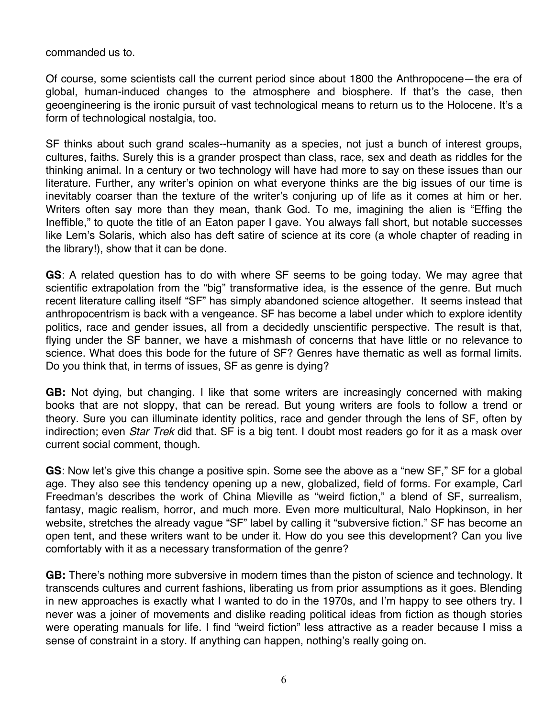commanded us to.

Of course, some scientists call the current period since about 1800 the Anthropocene—the era of global, human-induced changes to the atmosphere and biosphere. If that's the case, then geoengineering is the ironic pursuit of vast technological means to return us to the Holocene. It's a form of technological nostalgia, too.

SF thinks about such grand scales--humanity as a species, not just a bunch of interest groups, cultures, faiths. Surely this is a grander prospect than class, race, sex and death as riddles for the thinking animal. In a century or two technology will have had more to say on these issues than our literature. Further, any writer's opinion on what everyone thinks are the big issues of our time is inevitably coarser than the texture of the writer's conjuring up of life as it comes at him or her. Writers often say more than they mean, thank God. To me, imagining the alien is "Effing the Ineffible," to quote the title of an Eaton paper I gave. You always fall short, but notable successes like Lem's Solaris, which also has deft satire of science at its core (a whole chapter of reading in the library!), show that it can be done.

**GS**: A related question has to do with where SF seems to be going today. We may agree that scientific extrapolation from the "big" transformative idea, is the essence of the genre. But much recent literature calling itself "SF" has simply abandoned science altogether. It seems instead that anthropocentrism is back with a vengeance. SF has become a label under which to explore identity politics, race and gender issues, all from a decidedly unscientific perspective. The result is that, flying under the SF banner, we have a mishmash of concerns that have little or no relevance to science. What does this bode for the future of SF? Genres have thematic as well as formal limits. Do you think that, in terms of issues, SF as genre is dying?

**GB:** Not dying, but changing. I like that some writers are increasingly concerned with making books that are not sloppy, that can be reread. But young writers are fools to follow a trend or theory. Sure you can illuminate identity politics, race and gender through the lens of SF, often by indirection; even *Star Trek* did that. SF is a big tent. I doubt most readers go for it as a mask over current social comment, though.

**GS**: Now let's give this change a positive spin. Some see the above as a "new SF," SF for a global age. They also see this tendency opening up a new, globalized, field of forms. For example, Carl Freedman's describes the work of China Mieville as "weird fiction," a blend of SF, surrealism, fantasy, magic realism, horror, and much more. Even more multicultural, Nalo Hopkinson, in her website, stretches the already vague "SF" label by calling it "subversive fiction." SF has become an open tent, and these writers want to be under it. How do you see this development? Can you live comfortably with it as a necessary transformation of the genre?

**GB:** There's nothing more subversive in modern times than the piston of science and technology. It transcends cultures and current fashions, liberating us from prior assumptions as it goes. Blending in new approaches is exactly what I wanted to do in the 1970s, and I'm happy to see others try. I never was a joiner of movements and dislike reading political ideas from fiction as though stories were operating manuals for life. I find "weird fiction" less attractive as a reader because I miss a sense of constraint in a story. If anything can happen, nothing's really going on.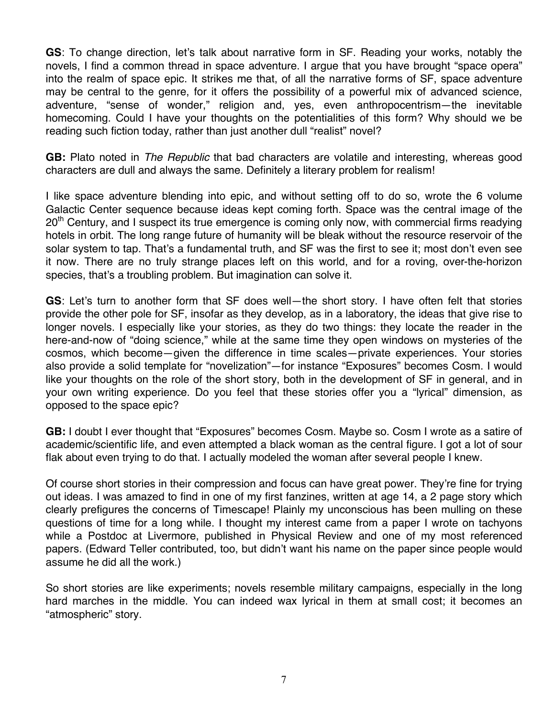**GS**: To change direction, let's talk about narrative form in SF. Reading your works, notably the novels, I find a common thread in space adventure. I argue that you have brought "space opera" into the realm of space epic. It strikes me that, of all the narrative forms of SF, space adventure may be central to the genre, for it offers the possibility of a powerful mix of advanced science, adventure, "sense of wonder," religion and, yes, even anthropocentrism—the inevitable homecoming. Could I have your thoughts on the potentialities of this form? Why should we be reading such fiction today, rather than just another dull "realist" novel?

**GB:** Plato noted in *The Republic* that bad characters are volatile and interesting, whereas good characters are dull and always the same. Definitely a literary problem for realism!

I like space adventure blending into epic, and without setting off to do so, wrote the 6 volume Galactic Center sequence because ideas kept coming forth. Space was the central image of the 20<sup>th</sup> Century, and I suspect its true emergence is coming only now, with commercial firms readying hotels in orbit. The long range future of humanity will be bleak without the resource reservoir of the solar system to tap. That's a fundamental truth, and SF was the first to see it; most don't even see it now. There are no truly strange places left on this world, and for a roving, over-the-horizon species, that's a troubling problem. But imagination can solve it.

**GS**: Let's turn to another form that SF does well—the short story. I have often felt that stories provide the other pole for SF, insofar as they develop, as in a laboratory, the ideas that give rise to longer novels. I especially like your stories, as they do two things: they locate the reader in the here-and-now of "doing science," while at the same time they open windows on mysteries of the cosmos, which become—given the difference in time scales—private experiences. Your stories also provide a solid template for "novelization"—for instance "Exposures" becomes Cosm. I would like your thoughts on the role of the short story, both in the development of SF in general, and in your own writing experience. Do you feel that these stories offer you a "lyrical" dimension, as opposed to the space epic?

**GB:** I doubt I ever thought that "Exposures" becomes Cosm. Maybe so. Cosm I wrote as a satire of academic/scientific life, and even attempted a black woman as the central figure. I got a lot of sour flak about even trying to do that. I actually modeled the woman after several people I knew.

Of course short stories in their compression and focus can have great power. They're fine for trying out ideas. I was amazed to find in one of my first fanzines, written at age 14, a 2 page story which clearly prefigures the concerns of Timescape! Plainly my unconscious has been mulling on these questions of time for a long while. I thought my interest came from a paper I wrote on tachyons while a Postdoc at Livermore, published in Physical Review and one of my most referenced papers. (Edward Teller contributed, too, but didn't want his name on the paper since people would assume he did all the work.)

So short stories are like experiments; novels resemble military campaigns, especially in the long hard marches in the middle. You can indeed wax lyrical in them at small cost; it becomes an "atmospheric" story.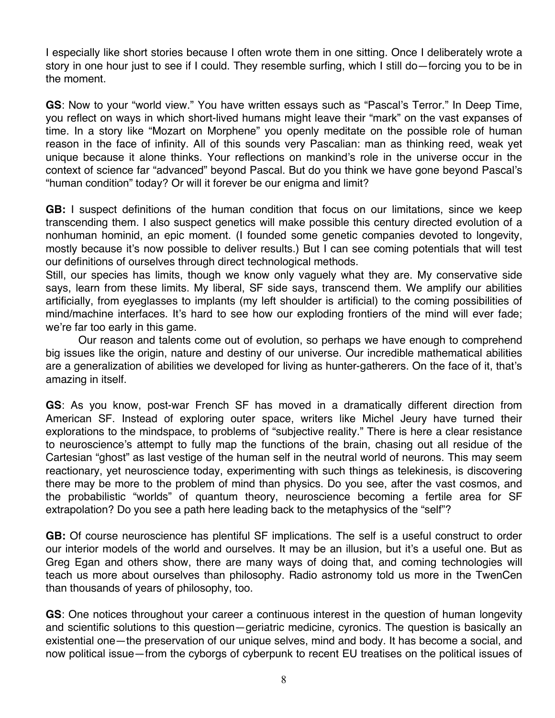I especially like short stories because I often wrote them in one sitting. Once I deliberately wrote a story in one hour just to see if I could. They resemble surfing, which I still do—forcing you to be in the moment.

**GS**: Now to your "world view." You have written essays such as "Pascal's Terror." In Deep Time, you reflect on ways in which short-lived humans might leave their "mark" on the vast expanses of time. In a story like "Mozart on Morphene" you openly meditate on the possible role of human reason in the face of infinity. All of this sounds very Pascalian: man as thinking reed, weak yet unique because it alone thinks. Your reflections on mankind's role in the universe occur in the context of science far "advanced" beyond Pascal. But do you think we have gone beyond Pascal's "human condition" today? Or will it forever be our enigma and limit?

**GB:** I suspect definitions of the human condition that focus on our limitations, since we keep transcending them. I also suspect genetics will make possible this century directed evolution of a nonhuman hominid, an epic moment. (I founded some genetic companies devoted to longevity, mostly because it's now possible to deliver results.) But I can see coming potentials that will test our definitions of ourselves through direct technological methods.

Still, our species has limits, though we know only vaguely what they are. My conservative side says, learn from these limits. My liberal, SF side says, transcend them. We amplify our abilities artificially, from eyeglasses to implants (my left shoulder is artificial) to the coming possibilities of mind/machine interfaces. It's hard to see how our exploding frontiers of the mind will ever fade; we're far too early in this game.

Our reason and talents come out of evolution, so perhaps we have enough to comprehend big issues like the origin, nature and destiny of our universe. Our incredible mathematical abilities are a generalization of abilities we developed for living as hunter-gatherers. On the face of it, that's amazing in itself.

**GS**: As you know, post-war French SF has moved in a dramatically different direction from American SF. Instead of exploring outer space, writers like Michel Jeury have turned their explorations to the mindspace, to problems of "subjective reality." There is here a clear resistance to neuroscience's attempt to fully map the functions of the brain, chasing out all residue of the Cartesian "ghost" as last vestige of the human self in the neutral world of neurons. This may seem reactionary, yet neuroscience today, experimenting with such things as telekinesis, is discovering there may be more to the problem of mind than physics. Do you see, after the vast cosmos, and the probabilistic "worlds" of quantum theory, neuroscience becoming a fertile area for SF extrapolation? Do you see a path here leading back to the metaphysics of the "self"?

**GB:** Of course neuroscience has plentiful SF implications. The self is a useful construct to order our interior models of the world and ourselves. It may be an illusion, but it's a useful one. But as Greg Egan and others show, there are many ways of doing that, and coming technologies will teach us more about ourselves than philosophy. Radio astronomy told us more in the TwenCen than thousands of years of philosophy, too.

**GS**: One notices throughout your career a continuous interest in the question of human longevity and scientific solutions to this question—geriatric medicine, cyronics. The question is basically an existential one—the preservation of our unique selves, mind and body. It has become a social, and now political issue—from the cyborgs of cyberpunk to recent EU treatises on the political issues of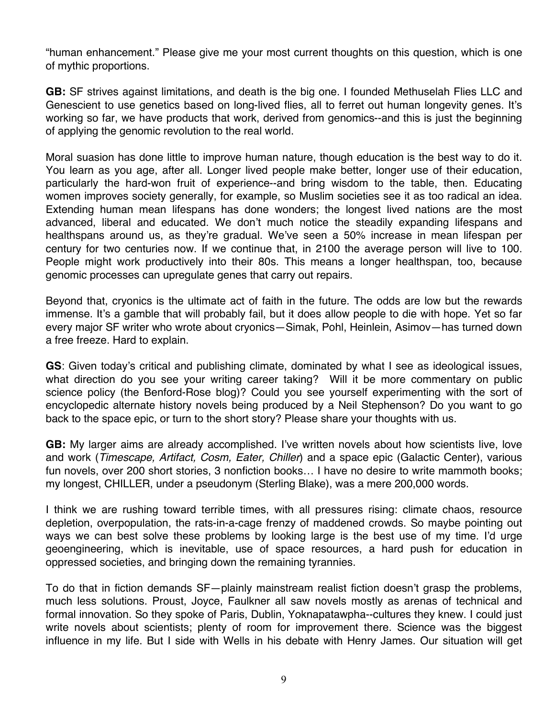"human enhancement." Please give me your most current thoughts on this question, which is one of mythic proportions.

**GB:** SF strives against limitations, and death is the big one. I founded Methuselah Flies LLC and Genescient to use genetics based on long-lived flies, all to ferret out human longevity genes. It's working so far, we have products that work, derived from genomics--and this is just the beginning of applying the genomic revolution to the real world.

Moral suasion has done little to improve human nature, though education is the best way to do it. You learn as you age, after all. Longer lived people make better, longer use of their education, particularly the hard-won fruit of experience--and bring wisdom to the table, then. Educating women improves society generally, for example, so Muslim societies see it as too radical an idea. Extending human mean lifespans has done wonders; the longest lived nations are the most advanced, liberal and educated. We don't much notice the steadily expanding lifespans and healthspans around us, as they're gradual. We've seen a 50% increase in mean lifespan per century for two centuries now. If we continue that, in 2100 the average person will live to 100. People might work productively into their 80s. This means a longer healthspan, too, because genomic processes can upregulate genes that carry out repairs.

Beyond that, cryonics is the ultimate act of faith in the future. The odds are low but the rewards immense. It's a gamble that will probably fail, but it does allow people to die with hope. Yet so far every major SF writer who wrote about cryonics—Simak, Pohl, Heinlein, Asimov—has turned down a free freeze. Hard to explain.

**GS**: Given today's critical and publishing climate, dominated by what I see as ideological issues, what direction do you see your writing career taking? Will it be more commentary on public science policy (the Benford-Rose blog)? Could you see yourself experimenting with the sort of encyclopedic alternate history novels being produced by a Neil Stephenson? Do you want to go back to the space epic, or turn to the short story? Please share your thoughts with us.

**GB:** My larger aims are already accomplished. I've written novels about how scientists live, love and work (*Timescape, Artifact, Cosm, Eater, Chiller*) and a space epic (Galactic Center), various fun novels, over 200 short stories, 3 nonfiction books… I have no desire to write mammoth books; my longest, CHILLER, under a pseudonym (Sterling Blake), was a mere 200,000 words.

I think we are rushing toward terrible times, with all pressures rising: climate chaos, resource depletion, overpopulation, the rats-in-a-cage frenzy of maddened crowds. So maybe pointing out ways we can best solve these problems by looking large is the best use of my time. I'd urge geoengineering, which is inevitable, use of space resources, a hard push for education in oppressed societies, and bringing down the remaining tyrannies.

To do that in fiction demands SF—plainly mainstream realist fiction doesn't grasp the problems, much less solutions. Proust, Joyce, Faulkner all saw novels mostly as arenas of technical and formal innovation. So they spoke of Paris, Dublin, Yoknapatawpha--cultures they knew. I could just write novels about scientists; plenty of room for improvement there. Science was the biggest influence in my life. But I side with Wells in his debate with Henry James. Our situation will get